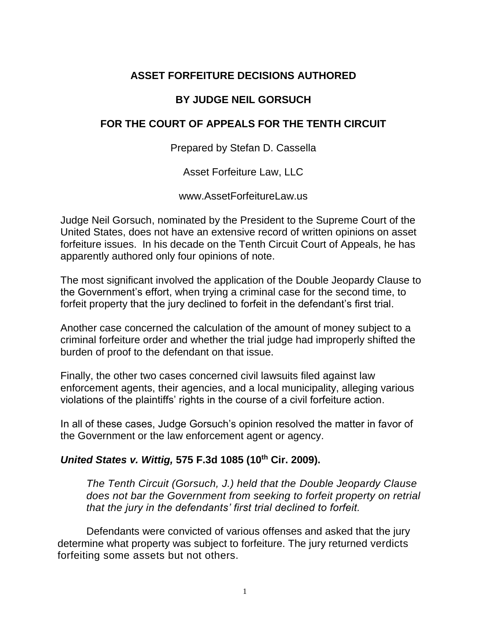# **ASSET FORFEITURE DECISIONS AUTHORED**

## **BY JUDGE NEIL GORSUCH**

## **FOR THE COURT OF APPEALS FOR THE TENTH CIRCUIT**

Prepared by Stefan D. Cassella

Asset Forfeiture Law, LLC

www.AssetForfeitureLaw.us

Judge Neil Gorsuch, nominated by the President to the Supreme Court of the United States, does not have an extensive record of written opinions on asset forfeiture issues. In his decade on the Tenth Circuit Court of Appeals, he has apparently authored only four opinions of note.

The most significant involved the application of the Double Jeopardy Clause to the Government's effort, when trying a criminal case for the second time, to forfeit property that the jury declined to forfeit in the defendant's first trial.

Another case concerned the calculation of the amount of money subject to a criminal forfeiture order and whether the trial judge had improperly shifted the burden of proof to the defendant on that issue.

Finally, the other two cases concerned civil lawsuits filed against law enforcement agents, their agencies, and a local municipality, alleging various violations of the plaintiffs' rights in the course of a civil forfeiture action.

In all of these cases, Judge Gorsuch's opinion resolved the matter in favor of the Government or the law enforcement agent or agency.

### **United States v. Wittig, 575 F.3d 1085 (10th Cir. 2009).**

The Tenth Circuit (Gorsuch, J.) held that the Double Jeopardy Clause does not bar the Government from seeking to forfeit property on retrial that the *jury in the defendants' first trial declined to forfeit.*

Defendants were convicted of various offenses and asked that the jury determine what property was subject to forfeiture. The jury returned verdicts forfeiting some assets but not others.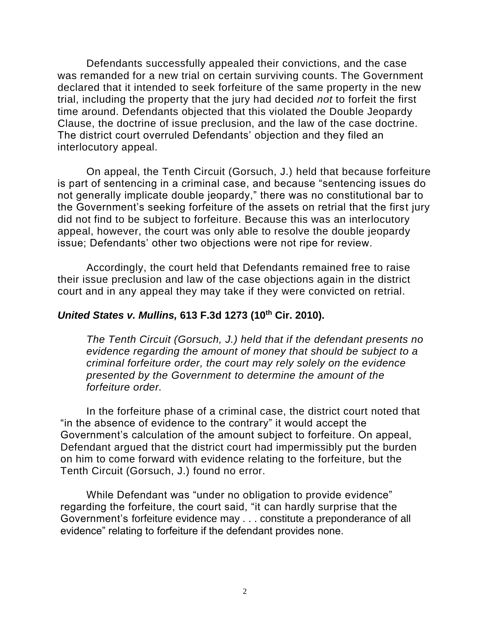Defendants successfully appealed their convictions, and the case was remanded for a new trial on certain surviving counts. The Government declared that it intended to seek forfeiture of the same property in the new trial, including the property that the jury had decided not to forfeit the first time around. Defendants objected that this violated the Double Jeopardy Clause, the doctrine of issue preclusion, and the law of the case doctrine. The district court overruled Defendants' objection and they filed an interlocutory appeal.

On appeal, the Tenth Circuit (Gorsuch, J.) held that because forfeiture is part of sentencing in a criminal case, and because "sentencing issues do not generally implicate double jeopardy," there was no constitutional bar to the Government's seeking forfeiture of the assets on retrial that the first jury did not find to be subject to forfeiture. Because this was an interlocutory appeal, however, the court was only able to resolve the double jeopardy issue; Defendants' other two objections were not ripe for review.

Accordingly, the court held that Defendants remained free to raise their issue preclusion and law of the case objections again in the district court and in any appeal they may take if they were convicted on retrial.

#### **United States v. Mullins, 613 F.3d 1273 (10th Cir. 2010).**

The Tenth Circuit (Gorsuch, J.) held that if the defendant presents no evidence regarding the amount of money that should be subject to a criminal forfeiture order, the court may rely solely on the evidence presented by the Government to determine the amount of the forfeiture order.

In the forfeiture phase of a criminal case, the district court noted that "in the absence of evidence to the contrary" it would accept the Government's calculation of the amount subject to forfeiture. On appeal, Defendant argued that the district court had impermissibly put the burden on him to come forward with evidence relating to the forfeiture, but the Tenth Circuit (Gorsuch, J.) found no error.

While Defendant was "under no obligation to provide evidence" regarding the forfeiture, the court said, "it can hardly surprise that the Government's forfeiture evidence may . . . constitute a preponderance of all evidence" relating to forfeiture if the defendant provides none.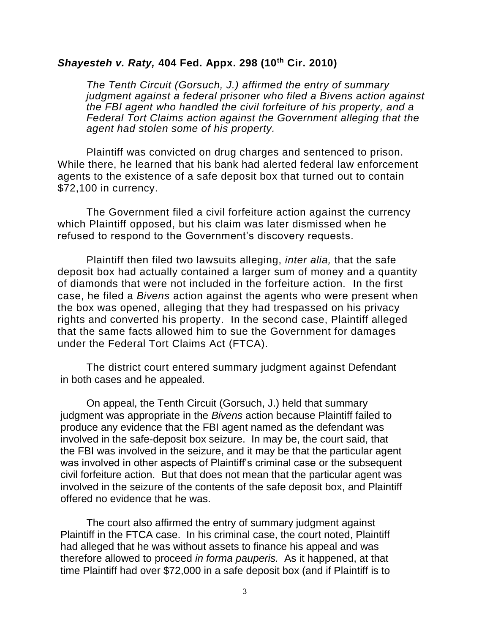### **Shayesteh v. Raty, 404 Fed. Appx. 298 (10th Cir. 2010)**

The Tenth Circuit (Gorsuch, J.) affirmed the entry of summary judgment against a federal prisoner who filed a Bivens action against the FBI agent who handled the civil forfeiture of his property, and a Federal Tort Claims action against the Government alleging that the agent had stolen some of his property.

Plaintiff was convicted on drug charges and sentenced to prison. While there, he learned that his bank had alerted federal law enforcement agents to the existence of a safe deposit box that turned out to contain \$72,100 in currency.

The Government filed a civil forfeiture action against the currency which Plaintiff opposed, but his claim was later dismissed when he refused to respond to the Government's discovery requests.

Plaintiff then filed two lawsuits alleging, inter alia, that the safe deposit box had actually contained a larger sum of money and a quantity of diamonds that were not included in the forfeiture action. In the first case, he filed a Bivens action against the agents who were present when the box was opened, alleging that they had trespassed on his privacy rights and converted his property. In the second case, Plaintiff alleged that the same facts allowed him to sue the Government for damages under the Federal Tort Claims Act (FTCA).

The district court entered summary judgment against Defendant in both cases and he appealed.

On appeal, the Tenth Circuit (Gorsuch, J.) held that summary judgment was appropriate in the Bivens action because Plaintiff failed to produce any evidence that the FBI agent named as the defendant was involved in the safe-deposit box seizure. In may be, the court said, that the FBI was involved in the seizure, and it may be that the particular agent was involved in other aspects of Plaintiff's criminal case or the subsequent civil forfeiture action. But that does not mean that the particular agent was involved in the seizure of the contents of the safe deposit box, and Plaintiff offered no evidence that he was.

The court also affirmed the entry of summary judgment against Plaintiff in the FTCA case. In his criminal case, the court noted, Plaintiff had alleged that he was without assets to finance his appeal and was therefore allowed to proceed in forma pauperis. As it happened, at that time Plaintiff had over \$72,000 in a safe deposit box (and if Plaintiff is to